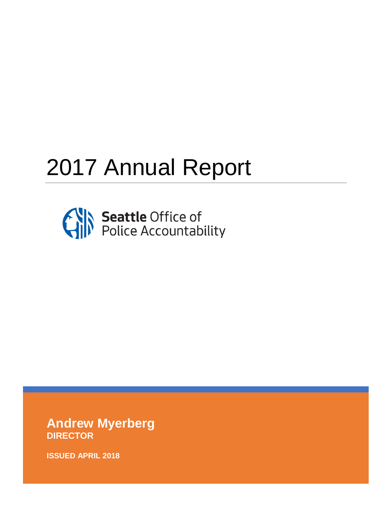# 2017 Annual Report



**Andrew Myerberg DIRECTOR** 

**ISSUED APRIL 2018**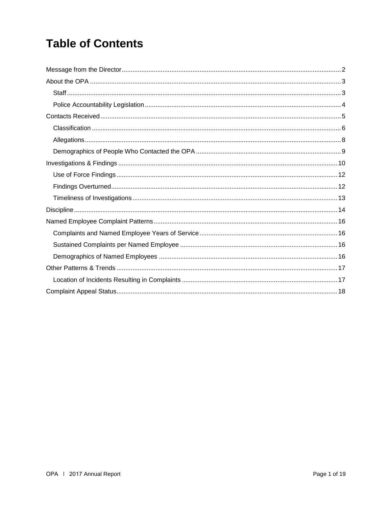## **Table of Contents**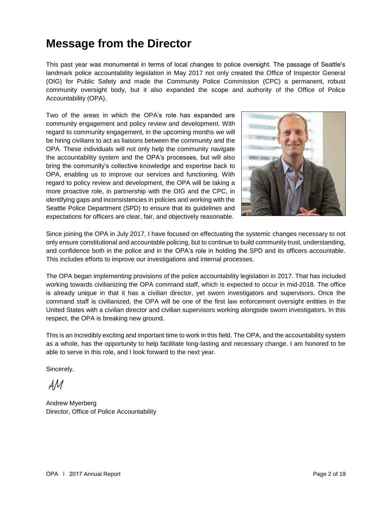## **Message from the Director**

This past year was monumental in terms of local changes to police oversight. The passage of Seattle's landmark police accountability legislation in May 2017 not only created the Office of Inspector General (OIG) for Public Safety and made the Community Police Commission (CPC) a permanent, robust community oversight body, but it also expanded the scope and authority of the Office of Police Accountability (OPA).

Two of the areas in which the OPA's role has expanded are community engagement and policy review and development. With regard to community engagement, in the upcoming months we will be hiring civilians to act as liaisons between the community and the OPA. These individuals will not only help the community navigate the accountability system and the OPA's processes, but will also bring the community's collective knowledge and expertise back to OPA, enabling us to improve our services and functioning. With regard to policy review and development, the OPA will be taking a more proactive role, in partnership with the OIG and the CPC, in identifying gaps and inconsistencies in policies and working with the Seattle Police Department (SPD) to ensure that its guidelines and expectations for officers are clear, fair, and objectively reasonable.



Since joining the OPA in July 2017, I have focused on effectuating the systemic changes necessary to not only ensure constitutional and accountable policing, but to continue to build community trust, understanding, and confidence both in the police and in the OPA's role in holding the SPD and its officers accountable. This includes efforts to improve our investigations and internal processes.

The OPA began implementing provisions of the police accountability legislation in 2017. That has included working towards civilianizing the OPA command staff, which is expected to occur in mid-2018. The office is already unique in that it has a civilian director, yet sworn investigators and supervisors. Once the command staff is civilianized, the OPA will be one of the first law enforcement oversight entities in the United States with a civilian director and civilian supervisors working alongside sworn investigators. In this respect, the OPA is breaking new ground.

This is an incredibly exciting and important time to work in this field. The OPA, and the accountability system as a whole, has the opportunity to help facilitate long-lasting and necessary change. I am honored to be able to serve in this role, and I look forward to the next year.

Sincerely,

AM

Andrew Myerberg Director, Office of Police Accountability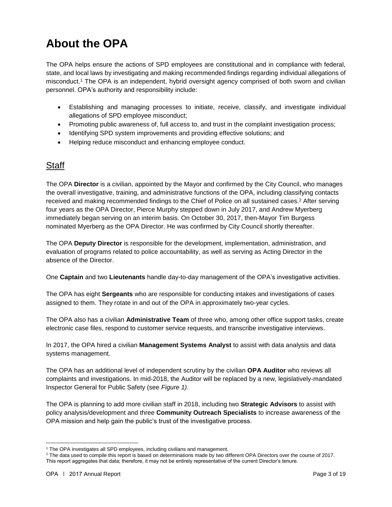# **About the OPA**

The OPA helps ensure the actions of SPD employees are constitutional and in compliance with federal, state, and local laws by investigating and making recommended findings regarding individual allegations of misconduct.<sup>1</sup> The OPA is an independent, hybrid oversight agency comprised of both sworn and civilian personnel. OPA's authority and responsibility include:

- Establishing and managing processes to initiate, receive, classify, and investigate individual allegations of SPD employee misconduct;
- Promoting public awareness of, full access to, and trust in the complaint investigation process;
- Identifying SPD system improvements and providing effective solutions; and
- Helping reduce misconduct and enhancing employee conduct.

#### **Staff**

The OPA **Director** is a civilian, appointed by the Mayor and confirmed by the City Council, who manages the overall investigative, training, and administrative functions of the OPA, including classifying contacts received and making recommended findings to the Chief of Police on all sustained cases.<sup>2</sup> After serving four years as the OPA Director, Pierce Murphy stepped down in July 2017, and Andrew Myerberg immediately began serving on an interim basis. On October 30, 2017, then-Mayor Tim Burgess nominated Myerberg as the OPA Director. He was confirmed by City Council shortly thereafter.

The OPA **Deputy Director** is responsible for the development, implementation, administration, and evaluation of programs related to police accountability, as well as serving as Acting Director in the absence of the Director.

One **Captain** and two **Lieutenants** handle day-to-day management of the OPA's investigative activities.

The OPA has eight **Sergeants** who are responsible for conducting intakes and investigations of cases assigned to them. They rotate in and out of the OPA in approximately two-year cycles.

The OPA also has a civilian **Administrative Team** of three who, among other office support tasks, create electronic case files, respond to customer service requests, and transcribe investigative interviews.

In 2017, the OPA hired a civilian **Management Systems Analyst** to assist with data analysis and data systems management.

The OPA has an additional level of independent scrutiny by the civilian **OPA Auditor** who reviews all complaints and investigations. In mid-2018, the Auditor will be replaced by a new, legislatively-mandated Inspector General for Public Safety (see *Figure 1)*.

The OPA is planning to add more civilian staff in 2018, including two **Strategic Advisors** to assist with policy analysis/development and three **Community Outreach Specialists** to increase awareness of the OPA mission and help gain the public's trust of the investigative process.

<sup>&</sup>lt;sup>1</sup> The OPA investigates all SPD employees, including civilians and management.

<sup>&</sup>lt;sup>2</sup> The data used to compile this report is based on determinations made by two different OPA Directors over the course of 2017. This report aggregates that data; therefore, it may not be entirely representative of the current Director's tenure.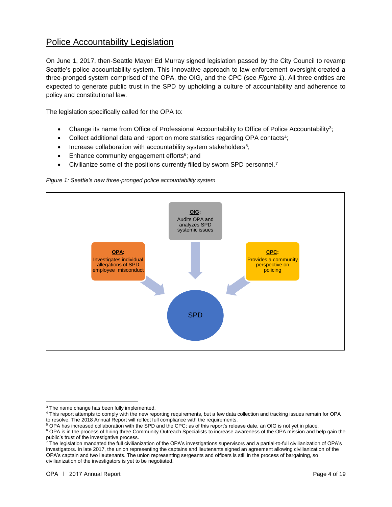#### Police Accountability Legislation

On June 1, 2017, then-Seattle Mayor Ed Murray signed legislation passed by the City Council to revamp Seattle's police accountability system. This innovative approach to law enforcement oversight created a three-pronged system comprised of the OPA, the OIG, and the CPC (see *Figure 1*). All three entities are expected to generate public trust in the SPD by upholding a culture of accountability and adherence to policy and constitutional law.

The legislation specifically called for the OPA to:

- Change its name from Office of Professional Accountability to Office of Police Accountability<sup>3</sup>;
- Collect additional data and report on more statistics regarding OPA contacts<sup>4</sup>;
- Increase collaboration with accountability system stakeholders<sup>5</sup>;
- Enhance community engagement efforts<sup>6</sup>; and
- Civilianize some of the positions currently filled by sworn SPD personnel.<sup>7</sup>

#### *Figure 1: Seattle's new three-pronged police accountability system*



l <sup>3</sup> The name change has been fully implemented.

<sup>&</sup>lt;sup>4</sup> This report attempts to comply with the new reporting requirements, but a few data collection and tracking issues remain for OPA to resolve. The 2018 Annual Report will reflect full compliance with the requirements.

<sup>5</sup> OPA has increased collaboration with the SPD and the CPC; as of this report's release date, an OIG is not yet in place.

<sup>&</sup>lt;sup>6</sup> OPA is in the process of hiring three Community Outreach Specialists to increase awareness of the OPA mission and help gain the public's trust of the investigative process.

 $^7$  The legislation mandated the full civilianization of the OPA's investigations supervisors and a partial-to-full civilianization of OPA's investigators. In late 2017, the union representing the captains and lieutenants signed an agreement allowing civilianization of the OPA's captain and two lieutenants. The union representing sergeants and officers is still in the process of bargaining, so civilianization of the investigators is yet to be negotiated.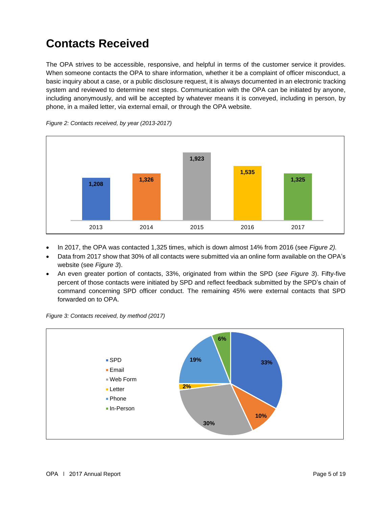## **Contacts Received**

The OPA strives to be accessible, responsive, and helpful in terms of the customer service it provides. When someone contacts the OPA to share information, whether it be a complaint of officer misconduct, a basic inquiry about a case, or a public disclosure request, it is always documented in an electronic tracking system and reviewed to determine next steps. Communication with the OPA can be initiated by anyone, including anonymously, and will be accepted by whatever means it is conveyed, including in person, by phone, in a mailed letter, via external email, or through the OPA website.



*Figure 2: Contacts received, by year (2013-2017)*

- In 2017, the OPA was contacted 1,325 times, which is down almost 14% from 2016 (see *Figure 2).*
- Data from 2017 show that 30% of all contacts were submitted via an online form available on the OPA's website (see *Figure 3*).
- An even greater portion of contacts, 33%, originated from within the SPD (*see Figure 3*). Fifty-five percent of those contacts were initiated by SPD and reflect feedback submitted by the SPD's chain of command concerning SPD officer conduct. The remaining 45% were external contacts that SPD forwarded on to OPA.



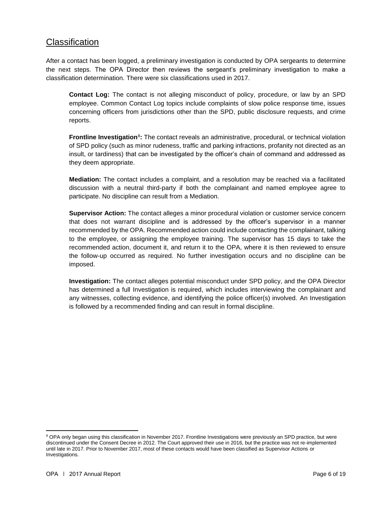#### **Classification**

After a contact has been logged, a preliminary investigation is conducted by OPA sergeants to determine the next steps. The OPA Director then reviews the sergeant's preliminary investigation to make a classification determination. There were six classifications used in 2017.

**Contact Log:** The contact is not alleging misconduct of policy, procedure, or law by an SPD employee. Common Contact Log topics include complaints of slow police response time, issues concerning officers from jurisdictions other than the SPD, public disclosure requests, and crime reports.

**Frontline Investigation**<sup>8</sup>: The contact reveals an administrative, procedural, or technical violation of SPD policy (such as minor rudeness, traffic and parking infractions, profanity not directed as an insult, or tardiness) that can be investigated by the officer's chain of command and addressed as they deem appropriate.

**Mediation:** The contact includes a complaint, and a resolution may be reached via a facilitated discussion with a neutral third-party if both the complainant and named employee agree to participate. No discipline can result from a Mediation.

**Supervisor Action:** The contact alleges a minor procedural violation or customer service concern that does not warrant discipline and is addressed by the officer's supervisor in a manner recommended by the OPA. Recommended action could include contacting the complainant, talking to the employee, or assigning the employee training. The supervisor has 15 days to take the recommended action, document it, and return it to the OPA, where it is then reviewed to ensure the follow-up occurred as required. No further investigation occurs and no discipline can be imposed.

**Investigation:** The contact alleges potential misconduct under SPD policy, and the OPA Director has determined a full Investigation is required, which includes interviewing the complainant and any witnesses, collecting evidence, and identifying the police officer(s) involved. An Investigation is followed by a recommended finding and can result in formal discipline.

<sup>&</sup>lt;sup>8</sup> OPA only began using this classification in November 2017. Frontline Investigations were previously an SPD practice, but were discontinued under the Consent Decree in 2012. The Court approved their use in 2016, but the practice was not re-implemented until late in 2017. Prior to November 2017, most of these contacts would have been classified as Supervisor Actions or Investigations.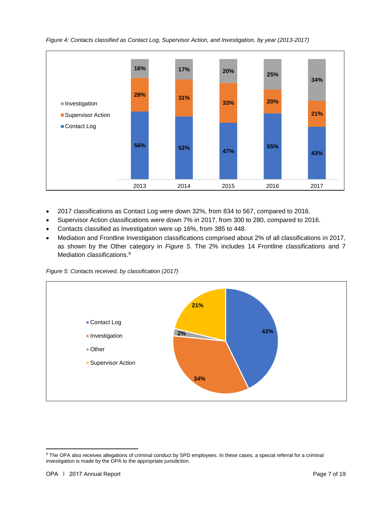*Figure 4: Contacts classified as Contact Log, Supervisor Action, and Investigation, by year (2013-2017)*



- 2017 classifications as Contact Log were down 32%, from 834 to 567, compared to 2016.
- Supervisor Action classifications were down 7% in 2017, from 300 to 280, compared to 2016.
- Contacts classified as Investigation were up 16%, from 385 to 448.
- Mediation and Frontline Investigation classifications comprised about 2% of all classifications in 2017, as shown by the Other category in *Figure 5*. The 2% includes 14 Frontline classifications and 7 Mediation classifications. 9





<sup>&</sup>lt;sup>9</sup> The OPA also receives allegations of criminal conduct by SPD employees. In these cases, a special referral for a criminal investigation is made by the OPA to the appropriate jurisdiction.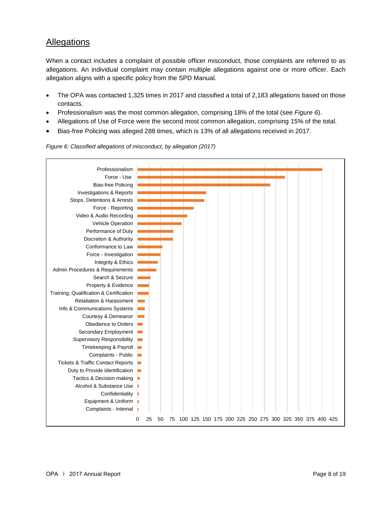#### Allegations

When a contact includes a complaint of possible officer misconduct, those complaints are referred to as allegations. An individual complaint may contain multiple allegations against one or more officer. Each allegation aligns with a specific policy from the SPD Manual.

- The OPA was contacted 1,325 times in 2017 and classified a total of 2,183 allegations based on those contacts.
- Professionalism was the most common allegation, comprising 18% of the total (see *Figure 6*).
- Allegations of Use of Force were the second most common allegation, comprising 15% of the total.
- Bias-free Policing was alleged 288 times, which is 13% of all allegations received in 2017.



#### *Figure 6: Classified allegations of misconduct, by allegation (2017)*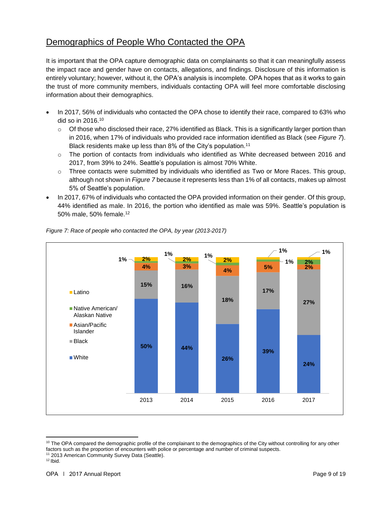### Demographics of People Who Contacted the OPA

It is important that the OPA capture demographic data on complainants so that it can meaningfully assess the impact race and gender have on contacts, allegations, and findings. Disclosure of this information is entirely voluntary; however, without it, the OPA's analysis is incomplete. OPA hopes that as it works to gain the trust of more community members, individuals contacting OPA will feel more comfortable disclosing information about their demographics.

- In 2017, 56% of individuals who contacted the OPA chose to identify their race, compared to 63% who did so in 2016.<sup>10</sup>
	- $\circ$  Of those who disclosed their race, 27% identified as Black. This is a significantly larger portion than in 2016, when 17% of individuals who provided race information identified as Black (see *Figure 7*). Black residents make up less than 8% of the City's population.<sup>11</sup>
	- $\circ$  The portion of contacts from individuals who identified as White decreased between 2016 and 2017, from 39% to 24%. Seattle's population is almost 70% White.
	- $\circ$  Three contacts were submitted by individuals who identified as Two or More Races. This group, although not shown in *Figure 7* because it represents less than 1% of all contacts, makes up almost 5% of Seattle's population.
- In 2017, 67% of individuals who contacted the OPA provided information on their gender. Of this group, 44% identified as male. In 2016, the portion who identified as male was 59%. Seattle's population is 50% male, 50% female.<sup>12</sup>



*Figure 7: Race of people who contacted the OPA, by year (2013-2017)*

<sup>&</sup>lt;sup>10</sup> The OPA compared the demographic profile of the complainant to the demographics of the City without controlling for any other factors such as the proportion of encounters with police or percentage and number of criminal suspects. <sup>11</sup> 2013 American Community Survey Data (Seattle).

 $12$  Ibid.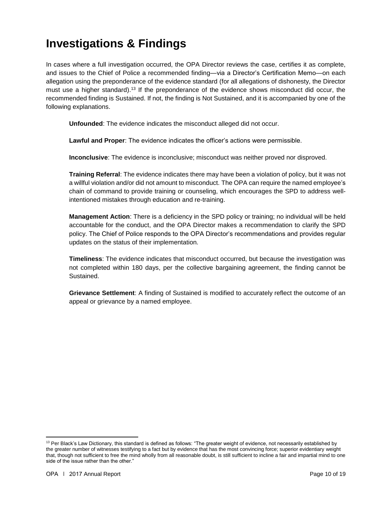## **Investigations & Findings**

In cases where a full investigation occurred, the OPA Director reviews the case, certifies it as complete, and issues to the Chief of Police a recommended finding—via a Director's Certification Memo—on each allegation using the preponderance of the evidence standard (for all allegations of dishonesty, the Director must use a higher standard). <sup>13</sup> If the preponderance of the evidence shows misconduct did occur, the recommended finding is Sustained. If not, the finding is Not Sustained, and it is accompanied by one of the following explanations.

**Unfounded**: The evidence indicates the misconduct alleged did not occur.

**Lawful and Proper**: The evidence indicates the officer's actions were permissible.

**Inconclusive**: The evidence is inconclusive; misconduct was neither proved nor disproved.

**Training Referral**: The evidence indicates there may have been a violation of policy, but it was not a willful violation and/or did not amount to misconduct. The OPA can require the named employee's chain of command to provide training or counseling, which encourages the SPD to address wellintentioned mistakes through education and re-training.

**Management Action**: There is a deficiency in the SPD policy or training; no individual will be held accountable for the conduct, and the OPA Director makes a recommendation to clarify the SPD policy. The Chief of Police responds to the OPA Director's recommendations and provides regular updates on the status of their implementation.

**Timeliness**: The evidence indicates that misconduct occurred, but because the investigation was not completed within 180 days, per the collective bargaining agreement, the finding cannot be Sustained.

**Grievance Settlement**: A finding of Sustained is modified to accurately reflect the outcome of an appeal or grievance by a named employee.

 $\overline{\phantom{a}}$ <sup>13</sup> Per Black's Law Dictionary, this standard is defined as follows: "The greater weight of evidence, not necessarily established by the greater number of witnesses testifying to a fact but by evidence that has the most convincing force; superior evidentiary weight that, though not sufficient to free the mind wholly from all reasonable doubt, is still sufficient to incline a fair and impartial mind to one side of the issue rather than the other."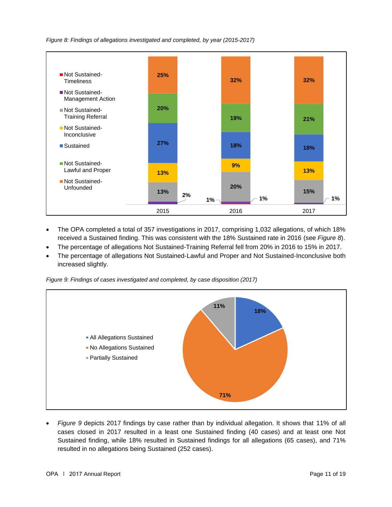*Figure 8: Findings of allegations investigated and completed, by year (2015-2017)*



- The OPA completed a total of 357 investigations in 2017, comprising 1,032 allegations, of which 18% received a Sustained finding. This was consistent with the 18% Sustained rate in 2016 (see *Figure 8*).
- The percentage of allegations Not Sustained-Training Referral fell from 20% in 2016 to 15% in 2017.
- The percentage of allegations Not Sustained-Lawful and Proper and Not Sustained-Inconclusive both increased slightly.

*Figure 9: Findings of cases investigated and completed, by case disposition (2017)*



• *Figure 9* depicts 2017 findings by case rather than by individual allegation. It shows that 11% of all cases closed in 2017 resulted in a least one Sustained finding (40 cases) and at least one Not Sustained finding, while 18% resulted in Sustained findings for all allegations (65 cases), and 71% resulted in no allegations being Sustained (252 cases).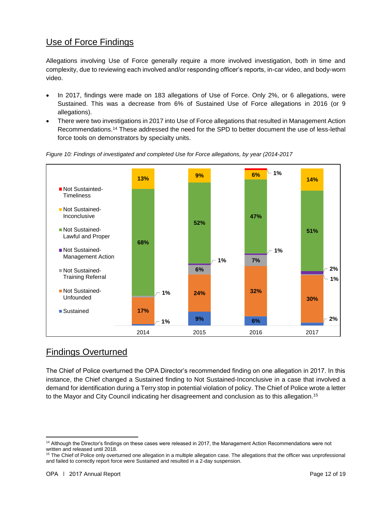#### Use of Force Findings

Allegations involving Use of Force generally require a more involved investigation, both in time and complexity, due to reviewing each involved and/or responding officer's reports, in-car video, and body-worn video.

- In 2017, findings were made on 183 allegations of Use of Force. Only 2%, or 6 allegations, were Sustained. This was a decrease from 6% of Sustained Use of Force allegations in 2016 (or 9 allegations).
- There were two investigations in 2017 into Use of Force allegations that resulted in Management Action Recommendations.<sup>14</sup> These addressed the need for the SPD to better document the use of less-lethal force tools on demonstrators by specialty units.





### Findings Overturned

The Chief of Police overturned the OPA Director's recommended finding on one allegation in 2017. In this instance, the Chief changed a Sustained finding to Not Sustained-Inconclusive in a case that involved a demand for identification during a Terry stop in potential violation of policy. The Chief of Police wrote a letter to the Mayor and City Council indicating her disagreement and conclusion as to this allegation.<sup>15</sup>

 $\overline{\phantom{a}}$ <sup>14</sup> Although the Director's findings on these cases were released in 2017, the Management Action Recommendations were not written and released until 2018.

<sup>&</sup>lt;sup>15</sup> The Chief of Police only overturned one allegation in a multiple allegation case. The allegations that the officer was unprofessional and failed to correctly report force were Sustained and resulted in a 2-day suspension.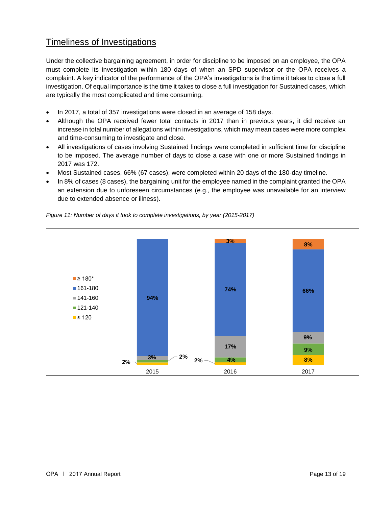### Timeliness of Investigations

Under the collective bargaining agreement, in order for discipline to be imposed on an employee, the OPA must complete its investigation within 180 days of when an SPD supervisor or the OPA receives a complaint. A key indicator of the performance of the OPA's investigations is the time it takes to close a full investigation. Of equal importance is the time it takes to close a full investigation for Sustained cases, which are typically the most complicated and time consuming.

- In 2017, a total of 357 investigations were closed in an average of 158 days.
- Although the OPA received fewer total contacts in 2017 than in previous years, it did receive an increase in total number of allegations within investigations, which may mean cases were more complex and time-consuming to investigate and close.
- All investigations of cases involving Sustained findings were completed in sufficient time for discipline to be imposed. The average number of days to close a case with one or more Sustained findings in 2017 was 172.
- Most Sustained cases, 66% (67 cases), were completed within 20 days of the 180-day timeline.
- In 8% of cases (8 cases), the bargaining unit for the employee named in the complaint granted the OPA an extension due to unforeseen circumstances (e.g., the employee was unavailable for an interview due to extended absence or illness).



*Figure 11: Number of days it took to complete investigations, by year (2015-2017)*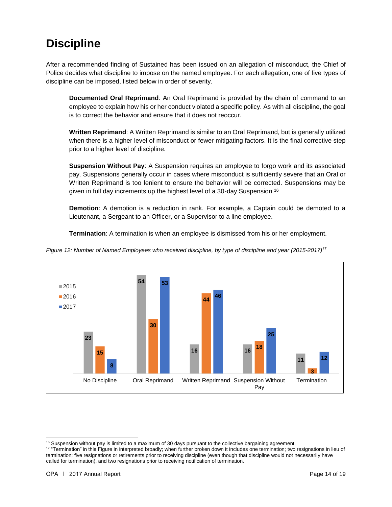## **Discipline**

After a recommended finding of Sustained has been issued on an allegation of misconduct, the Chief of Police decides what discipline to impose on the named employee. For each allegation, one of five types of discipline can be imposed, listed below in order of severity.

**Documented Oral Reprimand**: An Oral Reprimand is provided by the chain of command to an employee to explain how his or her conduct violated a specific policy. As with all discipline, the goal is to correct the behavior and ensure that it does not reoccur.

**Written Reprimand**: A Written Reprimand is similar to an Oral Reprimand, but is generally utilized when there is a higher level of misconduct or fewer mitigating factors. It is the final corrective step prior to a higher level of discipline.

**Suspension Without Pay**: A Suspension requires an employee to forgo work and its associated pay. Suspensions generally occur in cases where misconduct is sufficiently severe that an Oral or Written Reprimand is too lenient to ensure the behavior will be corrected. Suspensions may be given in full day increments up the highest level of a 30-day Suspension.<sup>16</sup>

**Demotion**: A demotion is a reduction in rank. For example, a Captain could be demoted to a Lieutenant, a Sergeant to an Officer, or a Supervisor to a line employee.

**Termination**: A termination is when an employee is dismissed from his or her employment.



*Figure 12: Number of Named Employees who received discipline, by type of discipline and year (2015-2017) 17*

 $\overline{\phantom{a}}$ <sup>16</sup> Suspension without pay is limited to a maximum of 30 days pursuant to the collective bargaining agreement.

<sup>&</sup>lt;sup>17</sup> "Termination" in this Figure in interpreted broadly; when further broken down it includes one termination; two resignations in lieu of termination; five resignations or retirements prior to receiving discipline (even though that discipline would not necessarily have called for termination), and two resignations prior to receiving notification of termination.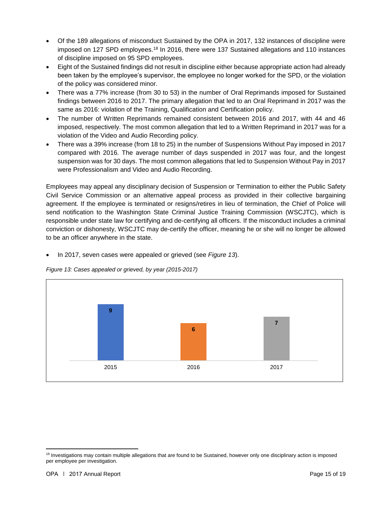- Of the 189 allegations of misconduct Sustained by the OPA in 2017, 132 instances of discipline were imposed on 127 SPD employees.<sup>18</sup> In 2016, there were 137 Sustained allegations and 110 instances of discipline imposed on 95 SPD employees.
- Eight of the Sustained findings did not result in discipline either because appropriate action had already been taken by the employee's supervisor, the employee no longer worked for the SPD, or the violation of the policy was considered minor.
- There was a 77% increase (from 30 to 53) in the number of Oral Reprimands imposed for Sustained findings between 2016 to 2017. The primary allegation that led to an Oral Reprimand in 2017 was the same as 2016: violation of the Training, Qualification and Certification policy.
- The number of Written Reprimands remained consistent between 2016 and 2017, with 44 and 46 imposed, respectively. The most common allegation that led to a Written Reprimand in 2017 was for a violation of the Video and Audio Recording policy.
- There was a 39% increase (from 18 to 25) in the number of Suspensions Without Pay imposed in 2017 compared with 2016. The average number of days suspended in 2017 was four, and the longest suspension was for 30 days. The most common allegations that led to Suspension Without Pay in 2017 were Professionalism and Video and Audio Recording.

Employees may appeal any disciplinary decision of Suspension or Termination to either the Public Safety Civil Service Commission or an alternative appeal process as provided in their collective bargaining agreement. If the employee is terminated or resigns/retires in lieu of termination, the Chief of Police will send notification to the Washington State Criminal Justice Training Commission (WSCJTC), which is responsible under state law for certifying and de-certifying all officers. If the misconduct includes a criminal conviction or dishonesty, WSCJTC may de-certify the officer, meaning he or she will no longer be allowed to be an officer anywhere in the state.

• In 2017, seven cases were appealed or grieved (see *Figure 13*).



*Figure 13: Cases appealed or grieved, by year (2015-2017)*

<sup>&</sup>lt;sup>18</sup> Investigations may contain multiple allegations that are found to be Sustained, however only one disciplinary action is imposed per employee per investigation.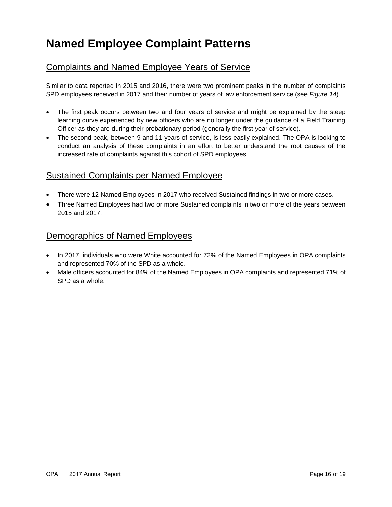## **Named Employee Complaint Patterns**

#### Complaints and Named Employee Years of Service

Similar to data reported in 2015 and 2016, there were two prominent peaks in the number of complaints SPD employees received in 2017 and their number of years of law enforcement service (see *Figure 14*).

- The first peak occurs between two and four years of service and might be explained by the steep learning curve experienced by new officers who are no longer under the guidance of a Field Training Officer as they are during their probationary period (generally the first year of service).
- The second peak, between 9 and 11 years of service, is less easily explained. The OPA is looking to conduct an analysis of these complaints in an effort to better understand the root causes of the increased rate of complaints against this cohort of SPD employees.

#### Sustained Complaints per Named Employee

- There were 12 Named Employees in 2017 who received Sustained findings in two or more cases.
- Three Named Employees had two or more Sustained complaints in two or more of the years between 2015 and 2017.

#### Demographics of Named Employees

- In 2017, individuals who were White accounted for 72% of the Named Employees in OPA complaints and represented 70% of the SPD as a whole.
- Male officers accounted for 84% of the Named Employees in OPA complaints and represented 71% of SPD as a whole.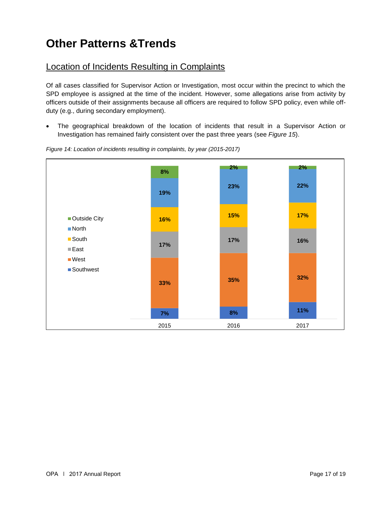## **Other Patterns &Trends**

## Location of Incidents Resulting in Complaints

Of all cases classified for Supervisor Action or Investigation, most occur within the precinct to which the SPD employee is assigned at the time of the incident. However, some allegations arise from activity by officers outside of their assignments because all officers are required to follow SPD policy, even while offduty (e.g., during secondary employment).

• The geographical breakdown of the location of incidents that result in a Supervisor Action or Investigation has remained fairly consistent over the past three years (see *Figure 15*).



*Figure 14: Location of incidents resulting in complaints, by year (2015-2017)*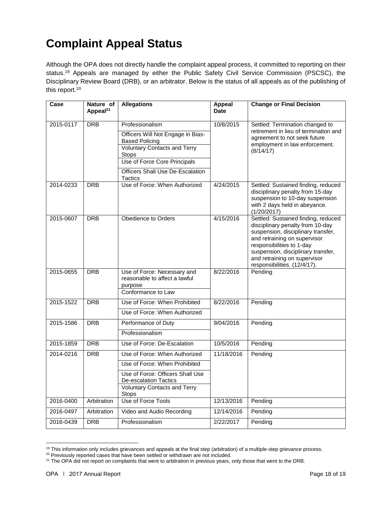# **Complaint Appeal Status**

Although the OPA does not directly handle the complaint appeal process, it committed to reporting on their status.<sup>19</sup> Appeals are managed by either the Public Safety Civil Service Commission (PSCSC), the Disciplinary Review Board (DRB), or an arbitrator. Below is the status of all appeals as of the publishing of this report.<sup>20</sup>

| Case      | Nature of<br>Appeal <sup>21</sup> | <b>Allegations</b>                                                      | Appeal<br><b>Date</b> | <b>Change or Final Decision</b>                                                                                                                                                                                                                                                  |
|-----------|-----------------------------------|-------------------------------------------------------------------------|-----------------------|----------------------------------------------------------------------------------------------------------------------------------------------------------------------------------------------------------------------------------------------------------------------------------|
| 2015-0117 | <b>DRB</b>                        | Professionalism                                                         | 10/8/2015             | Settled: Termination changed to                                                                                                                                                                                                                                                  |
|           |                                   | Officers Will Not Engage in Bias-<br><b>Based Policing</b>              |                       | retirement in lieu of termination and<br>agreement to not seek future                                                                                                                                                                                                            |
|           |                                   | <b>Voluntary Contacts and Terry</b><br>Stops                            |                       | employment in law enforcement.<br>(8/14/17)                                                                                                                                                                                                                                      |
|           |                                   | Use of Force Core Principals                                            |                       |                                                                                                                                                                                                                                                                                  |
|           |                                   | Officers Shall Use De-Escalation<br>Tactics                             |                       |                                                                                                                                                                                                                                                                                  |
| 2014-0233 | <b>DRB</b>                        | Use of Force: When Authorized                                           | 4/24/2015             | Settled: Sustained finding, reduced<br>disciplinary penalty from 15-day<br>suspension to 10-day suspension<br>with 2 days held in abeyance.<br>(1/20/2017)                                                                                                                       |
| 2015-0607 | <b>DRB</b>                        | Obedience to Orders                                                     | 4/15/2016             | Settled: Sustained finding, reduced<br>disciplinary penalty from 10-day<br>suspension, disciplinary transfer,<br>and retraining on supervisor<br>responsibilities to 1-day<br>suspension, disciplinary transfer,<br>and retraining on supervisor<br>responsibilities. (12/4/17). |
| 2015-0655 | <b>DRB</b>                        | Use of Force: Necessary and<br>reasonable to affect a lawful<br>purpose | 8/22/2016             | Pending                                                                                                                                                                                                                                                                          |
|           |                                   | Conformance to Law                                                      |                       |                                                                                                                                                                                                                                                                                  |
| 2015-1522 | <b>DRB</b>                        | Use of Force: When Prohibited                                           | 8/22/2016             | Pending                                                                                                                                                                                                                                                                          |
|           |                                   | Use of Force: When Authorized                                           |                       |                                                                                                                                                                                                                                                                                  |
| 2015-1586 | <b>DRB</b>                        | Performance of Duty                                                     | 9/04/2016             | Pending                                                                                                                                                                                                                                                                          |
|           |                                   | Professionalism                                                         |                       |                                                                                                                                                                                                                                                                                  |
| 2015-1859 | <b>DRB</b>                        | Use of Force: De-Escalation                                             | 10/5/2016             | Pending                                                                                                                                                                                                                                                                          |
| 2014-0216 | <b>DRB</b>                        | Use of Force: When Authorized                                           | 11/18/2016            | Pending                                                                                                                                                                                                                                                                          |
|           |                                   | Use of Force: When Prohibited                                           |                       |                                                                                                                                                                                                                                                                                  |
|           |                                   | Use of Force: Officers Shall Use<br><b>De-escalation Tactics</b>        |                       |                                                                                                                                                                                                                                                                                  |
|           |                                   | <b>Voluntary Contacts and Terry</b><br><b>Stops</b>                     |                       |                                                                                                                                                                                                                                                                                  |
| 2016-0400 | Arbitration                       | Use of Force Tools                                                      | 12/13/2016            | Pending                                                                                                                                                                                                                                                                          |
| 2016-0497 | Arbitration                       | Video and Audio Recording                                               | 12/14/2016            | Pending                                                                                                                                                                                                                                                                          |
| 2016-0439 | <b>DRB</b>                        | Professionalism                                                         | 2/22/2017             | Pending                                                                                                                                                                                                                                                                          |

<sup>&</sup>lt;sup>19</sup> This information only includes grievances and appeals at the final step (arbitration) of a multiple-step grievance process.

<sup>&</sup>lt;sup>20</sup> Previously reported cases that have been settled or withdrawn are not included.

<sup>&</sup>lt;sup>21</sup> The OPA did not report on complaints that went to arbitration in previous years, only those that went to the DRB.